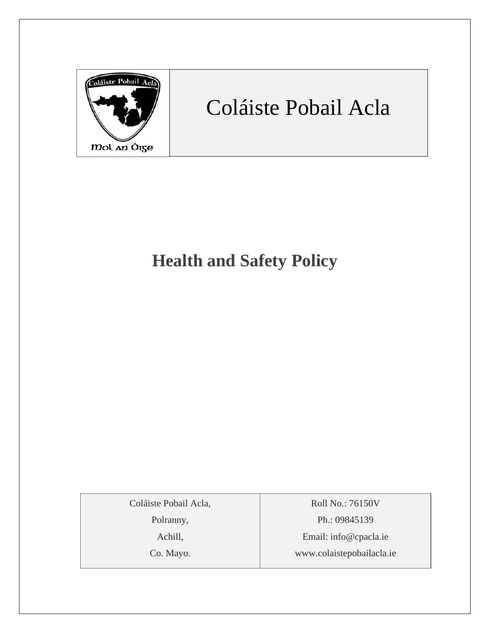

# Coláiste Pobail Acla

## **Health and Safety Policy**

Coláiste Pobail Acla,

Polranny,

Achill,

Co. Mayo.

Roll No.: 76150V Ph.: 09845139 Email: [info@cpacla.ie](mailto:info@cpacla.ie) www.colaistepobailacla.ie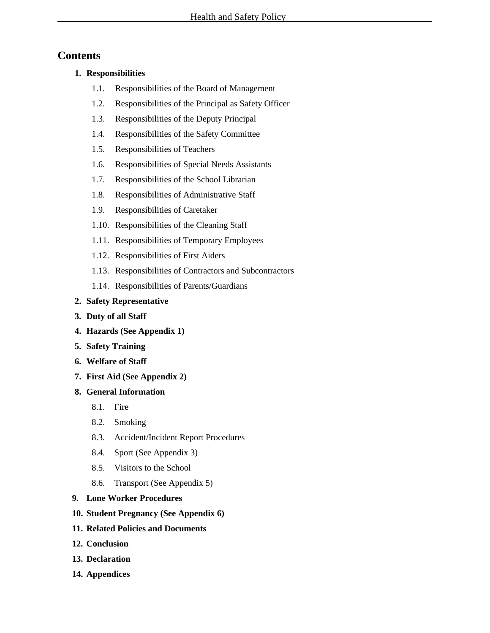#### **Contents**

#### **1. Responsibilities**

- 1.1. Responsibilities of the Board of Management
- 1.2. Responsibilities of the Principal as Safety Officer
- 1.3. Responsibilities of the Deputy Principal
- 1.4. Responsibilities of the Safety Committee
- 1.5. Responsibilities of Teachers
- 1.6. Responsibilities of Special Needs Assistants
- 1.7. Responsibilities of the School Librarian
- 1.8. Responsibilities of Administrative Staff
- 1.9. Responsibilities of Caretaker
- 1.10. Responsibilities of the Cleaning Staff
- 1.11. Responsibilities of Temporary Employees
- 1.12. Responsibilities of First Aiders
- 1.13. Responsibilities of Contractors and Subcontractors
- 1.14. Responsibilities of Parents/Guardians
- **2. Safety Representative**
- **3. Duty of all Staff**
- **4. Hazards (See Appendix 1)**
- **5. Safety Training**
- **6. Welfare of Staff**
- **7. First Aid (See Appendix 2)**

#### **8. General Information**

- 8.1. Fire
- 8.2. Smoking
- 8.3. Accident/Incident Report Procedures
- 8.4. Sport (See Appendix 3)
- 8.5. Visitors to the School
- 8.6. Transport (See Appendix 5)
- **9. Lone Worker Procedures**
- **10. Student Pregnancy (See Appendix 6)**
- **11. Related Policies and Documents**
- **12. Conclusion**
- **13. Declaration**
- **14. Appendices**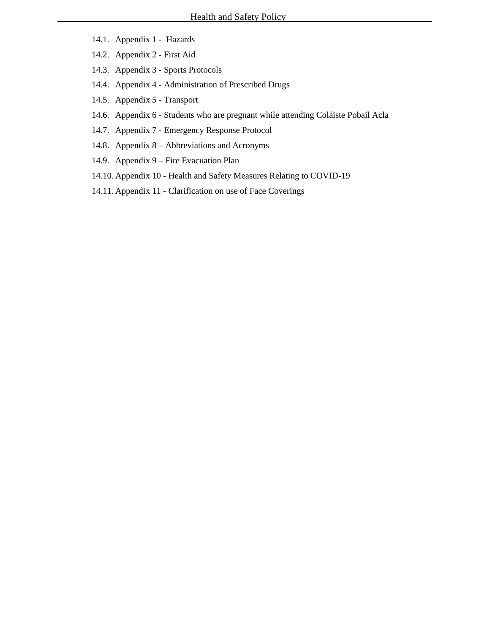- 14.1. Appendix 1 Hazards
- 14.2. Appendix 2 First Aid
- 14.3. Appendix 3 Sports Protocols
- 14.4. Appendix 4 Administration of Prescribed Drugs
- 14.5. Appendix 5 Transport
- 14.6. Appendix 6 Students who are pregnant while attending Coláiste Pobail Acla
- 14.7. Appendix 7 Emergency Response Protocol
- 14.8. Appendix 8 Abbreviations and Acronyms
- 14.9. Appendix 9 Fire Evacuation Plan
- 14.10. Appendix 10 Health and Safety Measures Relating to COVID-19
- 14.11. Appendix 11 Clarification on use of Face Coverings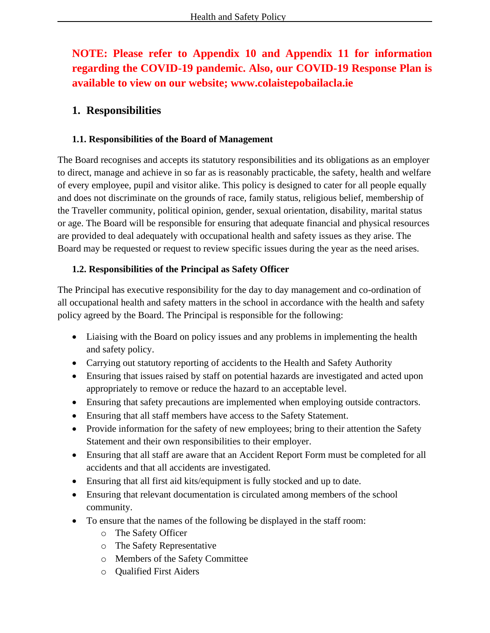**NOTE: Please refer to Appendix 10 and Appendix 11 for information regarding the COVID-19 pandemic. Also, our COVID-19 Response Plan is available to view on our website; www.colaistepobailacla.ie**

## **1. Responsibilities**

#### **1.1. Responsibilities of the Board of Management**

The Board recognises and accepts its statutory responsibilities and its obligations as an employer to direct, manage and achieve in so far as is reasonably practicable, the safety, health and welfare of every employee, pupil and visitor alike. This policy is designed to cater for all people equally and does not discriminate on the grounds of race, family status, religious belief, membership of the Traveller community, political opinion, gender, sexual orientation, disability, marital status or age. The Board will be responsible for ensuring that adequate financial and physical resources are provided to deal adequately with occupational health and safety issues as they arise. The Board may be requested or request to review specific issues during the year as the need arises.

#### **1.2. Responsibilities of the Principal as Safety Officer**

The Principal has executive responsibility for the day to day management and co-ordination of all occupational health and safety matters in the school in accordance with the health and safety policy agreed by the Board. The Principal is responsible for the following:

- Liaising with the Board on policy issues and any problems in implementing the health and safety policy.
- Carrying out statutory reporting of accidents to the Health and Safety Authority
- Ensuring that issues raised by staff on potential hazards are investigated and acted upon appropriately to remove or reduce the hazard to an acceptable level.
- Ensuring that safety precautions are implemented when employing outside contractors.
- Ensuring that all staff members have access to the Safety Statement.
- Provide information for the safety of new employees; bring to their attention the Safety Statement and their own responsibilities to their employer.
- Ensuring that all staff are aware that an Accident Report Form must be completed for all accidents and that all accidents are investigated.
- Ensuring that all first aid kits/equipment is fully stocked and up to date.
- Ensuring that relevant documentation is circulated among members of the school community.
- To ensure that the names of the following be displayed in the staff room:
	- o The Safety Officer
	- o The Safety Representative
	- o Members of the Safety Committee
	- o Qualified First Aiders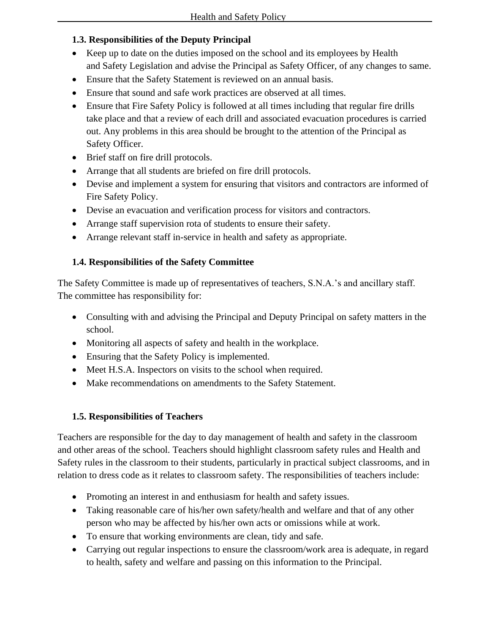#### **1.3. Responsibilities of the Deputy Principal**

- Keep up to date on the duties imposed on the school and its employees by Health and Safety Legislation and advise the Principal as Safety Officer, of any changes to same.
- Ensure that the Safety Statement is reviewed on an annual basis.
- Ensure that sound and safe work practices are observed at all times.
- Ensure that Fire Safety Policy is followed at all times including that regular fire drills take place and that a review of each drill and associated evacuation procedures is carried out. Any problems in this area should be brought to the attention of the Principal as Safety Officer.
- Brief staff on fire drill protocols.
- Arrange that all students are briefed on fire drill protocols.
- Devise and implement a system for ensuring that visitors and contractors are informed of Fire Safety Policy.
- Devise an evacuation and verification process for visitors and contractors.
- Arrange staff supervision rota of students to ensure their safety.
- Arrange relevant staff in-service in health and safety as appropriate.

#### **1.4. Responsibilities of the Safety Committee**

The Safety Committee is made up of representatives of teachers, S.N.A.'s and ancillary staff. The committee has responsibility for:

- Consulting with and advising the Principal and Deputy Principal on safety matters in the school.
- Monitoring all aspects of safety and health in the workplace.
- Ensuring that the Safety Policy is implemented.
- Meet H.S.A. Inspectors on visits to the school when required.
- Make recommendations on amendments to the Safety Statement.

#### **1.5. Responsibilities of Teachers**

Teachers are responsible for the day to day management of health and safety in the classroom and other areas of the school. Teachers should highlight classroom safety rules and Health and Safety rules in the classroom to their students, particularly in practical subject classrooms, and in relation to dress code as it relates to classroom safety. The responsibilities of teachers include:

- Promoting an interest in and enthusiasm for health and safety issues.
- Taking reasonable care of his/her own safety/health and welfare and that of any other person who may be affected by his/her own acts or omissions while at work.
- To ensure that working environments are clean, tidy and safe.
- Carrying out regular inspections to ensure the classroom/work area is adequate, in regard to health, safety and welfare and passing on this information to the Principal.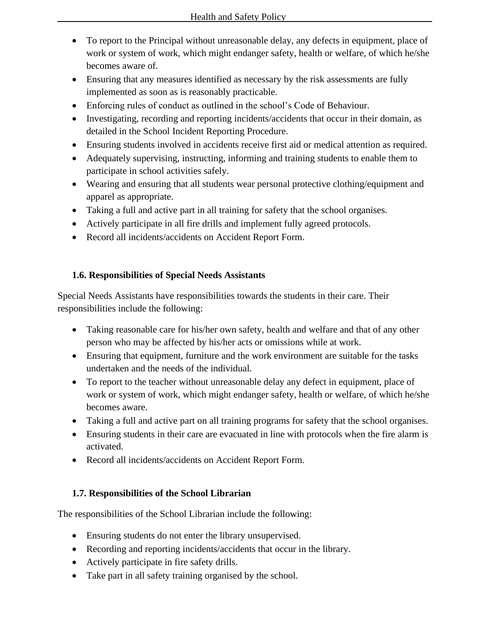- To report to the Principal without unreasonable delay, any defects in equipment, place of work or system of work, which might endanger safety, health or welfare, of which he/she becomes aware of.
- Ensuring that any measures identified as necessary by the risk assessments are fully implemented as soon as is reasonably practicable.
- Enforcing rules of conduct as outlined in the school's Code of Behaviour.
- Investigating, recording and reporting incidents/accidents that occur in their domain, as detailed in the School Incident Reporting Procedure.
- Ensuring students involved in accidents receive first aid or medical attention as required.
- Adequately supervising, instructing, informing and training students to enable them to participate in school activities safely.
- Wearing and ensuring that all students wear personal protective clothing/equipment and apparel as appropriate.
- Taking a full and active part in all training for safety that the school organises.
- Actively participate in all fire drills and implement fully agreed protocols.
- Record all incidents/accidents on Accident Report Form.

#### **1.6. Responsibilities of Special Needs Assistants**

Special Needs Assistants have responsibilities towards the students in their care. Their responsibilities include the following:

- Taking reasonable care for his/her own safety, health and welfare and that of any other person who may be affected by his/her acts or omissions while at work.
- Ensuring that equipment, furniture and the work environment are suitable for the tasks undertaken and the needs of the individual.
- To report to the teacher without unreasonable delay any defect in equipment, place of work or system of work, which might endanger safety, health or welfare, of which he/she becomes aware.
- Taking a full and active part on all training programs for safety that the school organises.
- Ensuring students in their care are evacuated in line with protocols when the fire alarm is activated.
- Record all incidents/accidents on Accident Report Form.

#### **1.7. Responsibilities of the School Librarian**

The responsibilities of the School Librarian include the following:

- Ensuring students do not enter the library unsupervised.
- Recording and reporting incidents/accidents that occur in the library.
- Actively participate in fire safety drills.
- Take part in all safety training organised by the school.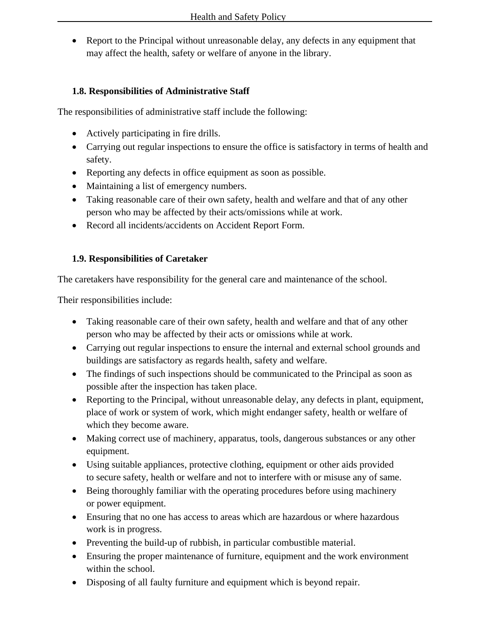• Report to the Principal without unreasonable delay, any defects in any equipment that may affect the health, safety or welfare of anyone in the library.

#### **1.8. Responsibilities of Administrative Staff**

The responsibilities of administrative staff include the following:

- Actively participating in fire drills.
- Carrying out regular inspections to ensure the office is satisfactory in terms of health and safety.
- Reporting any defects in office equipment as soon as possible.
- Maintaining a list of emergency numbers.
- Taking reasonable care of their own safety, health and welfare and that of any other person who may be affected by their acts/omissions while at work.
- Record all incidents/accidents on Accident Report Form.

#### **1.9. Responsibilities of Caretaker**

The caretakers have responsibility for the general care and maintenance of the school.

Their responsibilities include:

- Taking reasonable care of their own safety, health and welfare and that of any other person who may be affected by their acts or omissions while at work.
- Carrying out regular inspections to ensure the internal and external school grounds and buildings are satisfactory as regards health, safety and welfare.
- The findings of such inspections should be communicated to the Principal as soon as possible after the inspection has taken place.
- Reporting to the Principal, without unreasonable delay, any defects in plant, equipment, place of work or system of work, which might endanger safety, health or welfare of which they become aware.
- Making correct use of machinery, apparatus, tools, dangerous substances or any other equipment.
- Using suitable appliances, protective clothing, equipment or other aids provided to secure safety, health or welfare and not to interfere with or misuse any of same.
- Being thoroughly familiar with the operating procedures before using machinery or power equipment.
- Ensuring that no one has access to areas which are hazardous or where hazardous work is in progress.
- Preventing the build-up of rubbish, in particular combustible material.
- Ensuring the proper maintenance of furniture, equipment and the work environment within the school.
- Disposing of all faulty furniture and equipment which is beyond repair.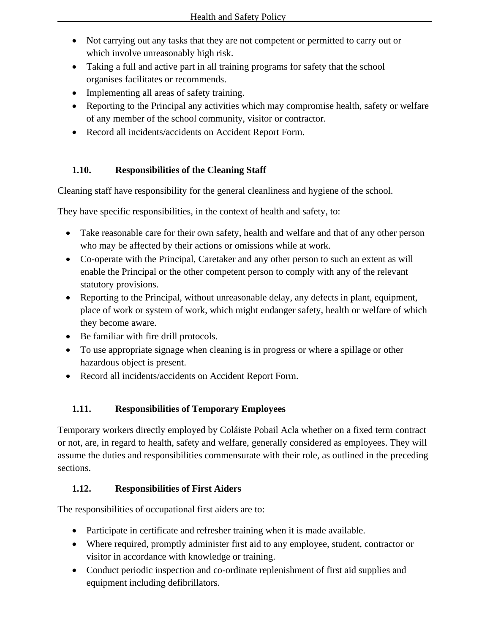- Not carrying out any tasks that they are not competent or permitted to carry out or which involve unreasonably high risk.
- Taking a full and active part in all training programs for safety that the school organises facilitates or recommends.
- Implementing all areas of safety training.
- Reporting to the Principal any activities which may compromise health, safety or welfare of any member of the school community, visitor or contractor.
- Record all incidents/accidents on Accident Report Form.

#### **1.10. Responsibilities of the Cleaning Staff**

Cleaning staff have responsibility for the general cleanliness and hygiene of the school.

They have specific responsibilities, in the context of health and safety, to:

- Take reasonable care for their own safety, health and welfare and that of any other person who may be affected by their actions or omissions while at work.
- Co-operate with the Principal, Caretaker and any other person to such an extent as will enable the Principal or the other competent person to comply with any of the relevant statutory provisions.
- Reporting to the Principal, without unreasonable delay, any defects in plant, equipment, place of work or system of work, which might endanger safety, health or welfare of which they become aware.
- Be familiar with fire drill protocols.
- To use appropriate signage when cleaning is in progress or where a spillage or other hazardous object is present.
- Record all incidents/accidents on Accident Report Form.

## **1.11. Responsibilities of Temporary Employees**

Temporary workers directly employed by Coláiste Pobail Acla whether on a fixed term contract or not, are, in regard to health, safety and welfare, generally considered as employees. They will assume the duties and responsibilities commensurate with their role, as outlined in the preceding sections.

## **1.12. Responsibilities of First Aiders**

The responsibilities of occupational first aiders are to:

- Participate in certificate and refresher training when it is made available.
- Where required, promptly administer first aid to any employee, student, contractor or visitor in accordance with knowledge or training.
- Conduct periodic inspection and co-ordinate replenishment of first aid supplies and equipment including defibrillators.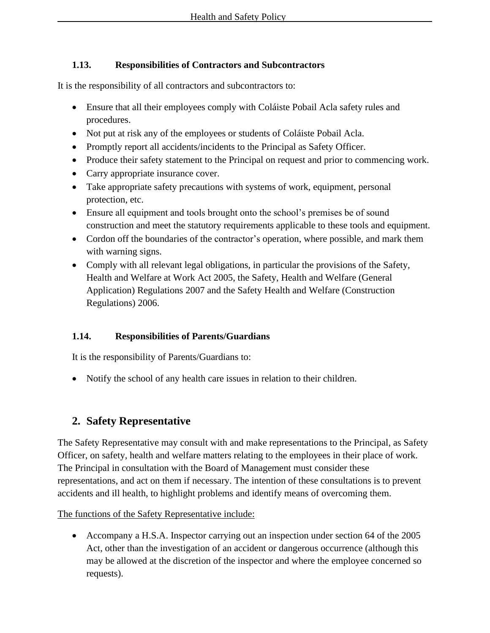#### **1.13. Responsibilities of Contractors and Subcontractors**

It is the responsibility of all contractors and subcontractors to:

- Ensure that all their employees comply with Coláiste Pobail Acla safety rules and procedures.
- Not put at risk any of the employees or students of Coláiste Pobail Acla.
- Promptly report all accidents/incidents to the Principal as Safety Officer.
- Produce their safety statement to the Principal on request and prior to commencing work.
- Carry appropriate insurance cover.
- Take appropriate safety precautions with systems of work, equipment, personal protection, etc.
- Ensure all equipment and tools brought onto the school's premises be of sound construction and meet the statutory requirements applicable to these tools and equipment.
- Cordon off the boundaries of the contractor's operation, where possible, and mark them with warning signs.
- Comply with all relevant legal obligations, in particular the provisions of the Safety, Health and Welfare at Work Act 2005, the Safety, Health and Welfare (General Application) Regulations 2007 and the Safety Health and Welfare (Construction Regulations) 2006.

#### **1.14. Responsibilities of Parents/Guardians**

It is the responsibility of Parents/Guardians to:

• Notify the school of any health care issues in relation to their children.

## **2. Safety Representative**

The Safety Representative may consult with and make representations to the Principal, as Safety Officer, on safety, health and welfare matters relating to the employees in their place of work. The Principal in consultation with the Board of Management must consider these representations, and act on them if necessary. The intention of these consultations is to prevent accidents and ill health, to highlight problems and identify means of overcoming them.

The functions of the Safety Representative include:

• Accompany a H.S.A. Inspector carrying out an inspection under section 64 of the 2005 Act, other than the investigation of an accident or dangerous occurrence (although this may be allowed at the discretion of the inspector and where the employee concerned so requests).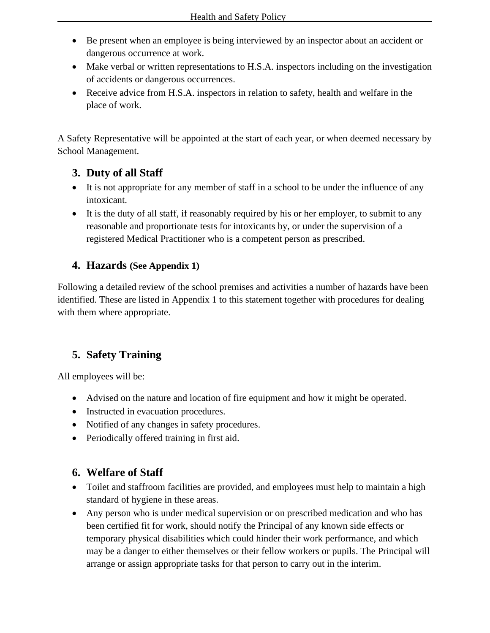- Be present when an employee is being interviewed by an inspector about an accident or dangerous occurrence at work.
- Make verbal or written representations to H.S.A. inspectors including on the investigation of accidents or dangerous occurrences.
- Receive advice from H.S.A. inspectors in relation to safety, health and welfare in the place of work.

A Safety Representative will be appointed at the start of each year, or when deemed necessary by School Management.

## **3. Duty of all Staff**

- It is not appropriate for any member of staff in a school to be under the influence of any intoxicant.
- It is the duty of all staff, if reasonably required by his or her employer, to submit to any reasonable and proportionate tests for intoxicants by, or under the supervision of a registered Medical Practitioner who is a competent person as prescribed.

## **4. Hazards (See Appendix 1)**

Following a detailed review of the school premises and activities a number of hazards have been identified. These are listed in Appendix 1 to this statement together with procedures for dealing with them where appropriate.

## **5. Safety Training**

All employees will be:

- Advised on the nature and location of fire equipment and how it might be operated.
- Instructed in evacuation procedures.
- Notified of any changes in safety procedures.
- Periodically offered training in first aid.

## **6. Welfare of Staff**

- Toilet and staffroom facilities are provided, and employees must help to maintain a high standard of hygiene in these areas.
- Any person who is under medical supervision or on prescribed medication and who has been certified fit for work, should notify the Principal of any known side effects or temporary physical disabilities which could hinder their work performance, and which may be a danger to either themselves or their fellow workers or pupils. The Principal will arrange or assign appropriate tasks for that person to carry out in the interim.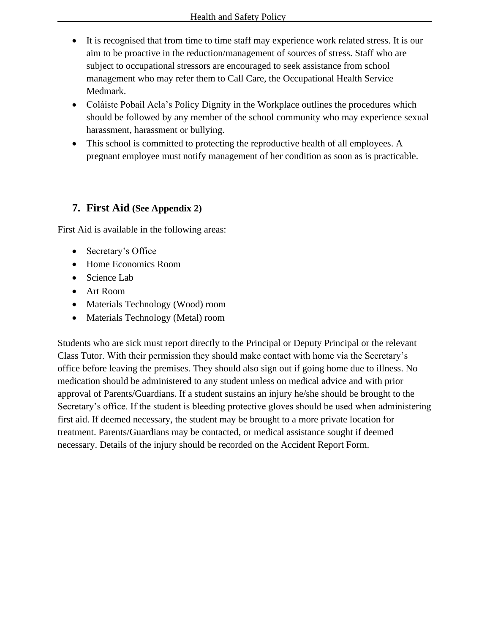- It is recognised that from time to time staff may experience work related stress. It is our aim to be proactive in the reduction/management of sources of stress. Staff who are subject to occupational stressors are encouraged to seek assistance from school management who may refer them to Call Care, the Occupational Health Service Medmark.
- Coláiste Pobail Acla's Policy Dignity in the Workplace outlines the procedures which should be followed by any member of the school community who may experience sexual harassment, harassment or bullying.
- This school is committed to protecting the reproductive health of all employees. A pregnant employee must notify management of her condition as soon as is practicable.

## **7. First Aid (See Appendix 2)**

First Aid is available in the following areas:

- Secretary's Office
- Home Economics Room
- Science Lab
- Art Room
- Materials Technology (Wood) room
- Materials Technology (Metal) room

Students who are sick must report directly to the Principal or Deputy Principal or the relevant Class Tutor. With their permission they should make contact with home via the Secretary's office before leaving the premises. They should also sign out if going home due to illness. No medication should be administered to any student unless on medical advice and with prior approval of Parents/Guardians. If a student sustains an injury he/she should be brought to the Secretary's office. If the student is bleeding protective gloves should be used when administering first aid. If deemed necessary, the student may be brought to a more private location for treatment. Parents/Guardians may be contacted, or medical assistance sought if deemed necessary. Details of the injury should be recorded on the Accident Report Form.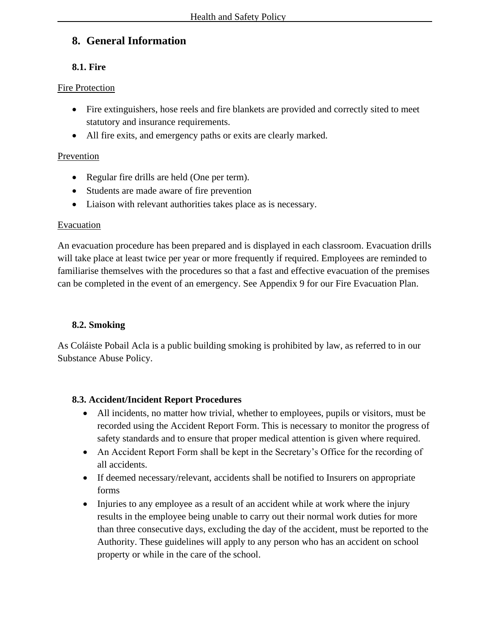## **8. General Information**

#### **8.1. Fire**

#### Fire Protection

- Fire extinguishers, hose reels and fire blankets are provided and correctly sited to meet statutory and insurance requirements.
- All fire exits, and emergency paths or exits are clearly marked.

#### Prevention

- Regular fire drills are held (One per term).
- Students are made aware of fire prevention
- Liaison with relevant authorities takes place as is necessary.

#### Evacuation

An evacuation procedure has been prepared and is displayed in each classroom. Evacuation drills will take place at least twice per year or more frequently if required. Employees are reminded to familiarise themselves with the procedures so that a fast and effective evacuation of the premises can be completed in the event of an emergency. See Appendix 9 for our Fire Evacuation Plan.

#### **8.2. Smoking**

As Coláiste Pobail Acla is a public building smoking is prohibited by law, as referred to in our Substance Abuse Policy.

#### **8.3. Accident/Incident Report Procedures**

- All incidents, no matter how trivial, whether to employees, pupils or visitors, must be recorded using the Accident Report Form. This is necessary to monitor the progress of safety standards and to ensure that proper medical attention is given where required.
- An Accident Report Form shall be kept in the Secretary's Office for the recording of all accidents.
- If deemed necessary/relevant, accidents shall be notified to Insurers on appropriate forms
- Injuries to any employee as a result of an accident while at work where the injury results in the employee being unable to carry out their normal work duties for more than three consecutive days, excluding the day of the accident, must be reported to the Authority. These guidelines will apply to any person who has an accident on school property or while in the care of the school.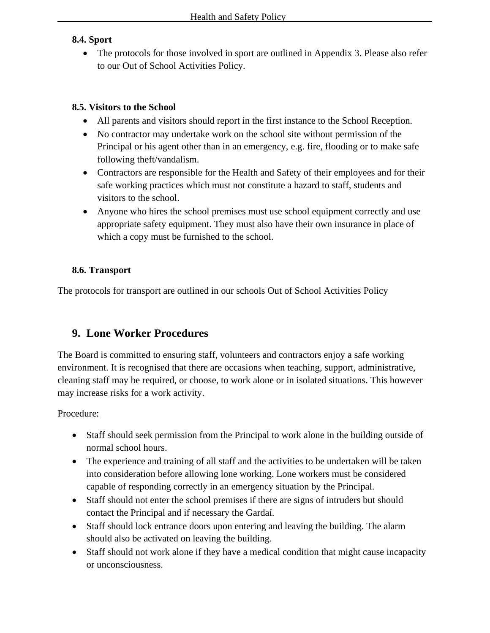#### **8.4. Sport**

• The protocols for those involved in sport are outlined in Appendix 3. Please also refer to our Out of School Activities Policy.

#### **8.5. Visitors to the School**

- All parents and visitors should report in the first instance to the School Reception.
- No contractor may undertake work on the school site without permission of the Principal or his agent other than in an emergency, e.g. fire, flooding or to make safe following theft/vandalism.
- Contractors are responsible for the Health and Safety of their employees and for their safe working practices which must not constitute a hazard to staff, students and visitors to the school.
- Anyone who hires the school premises must use school equipment correctly and use appropriate safety equipment. They must also have their own insurance in place of which a copy must be furnished to the school.

#### **8.6. Transport**

The protocols for transport are outlined in our schools Out of School Activities Policy

## **9. Lone Worker Procedures**

The Board is committed to ensuring staff, volunteers and contractors enjoy a safe working environment. It is recognised that there are occasions when teaching, support, administrative, cleaning staff may be required, or choose, to work alone or in isolated situations. This however may increase risks for a work activity.

#### Procedure:

- Staff should seek permission from the Principal to work alone in the building outside of normal school hours.
- The experience and training of all staff and the activities to be undertaken will be taken into consideration before allowing lone working. Lone workers must be considered capable of responding correctly in an emergency situation by the Principal.
- Staff should not enter the school premises if there are signs of intruders but should contact the Principal and if necessary the Gardaí.
- Staff should lock entrance doors upon entering and leaving the building. The alarm should also be activated on leaving the building.
- Staff should not work alone if they have a medical condition that might cause incapacity or unconsciousness.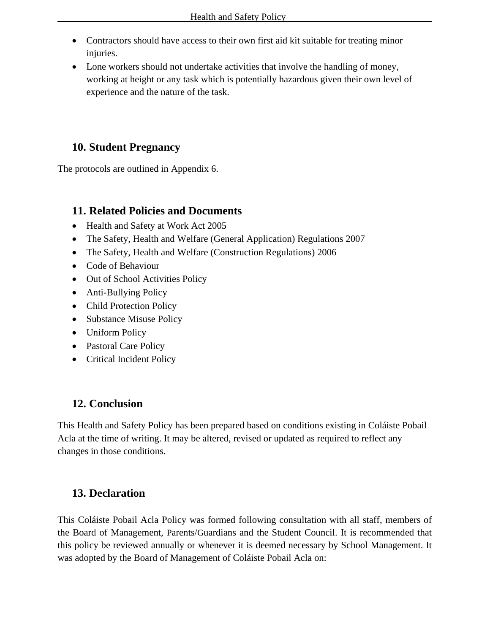- Contractors should have access to their own first aid kit suitable for treating minor injuries.
- Lone workers should not undertake activities that involve the handling of money, working at height or any task which is potentially hazardous given their own level of experience and the nature of the task.

## **10. Student Pregnancy**

The protocols are outlined in Appendix 6.

#### **11. Related Policies and Documents**

- Health and Safety at Work Act 2005
- The Safety, Health and Welfare (General Application) Regulations 2007
- The Safety, Health and Welfare (Construction Regulations) 2006
- Code of Behaviour
- Out of School Activities Policy
- Anti-Bullying Policy
- Child Protection Policy
- Substance Misuse Policy
- Uniform Policy
- Pastoral Care Policy
- Critical Incident Policy

## **12. Conclusion**

This Health and Safety Policy has been prepared based on conditions existing in Coláiste Pobail Acla at the time of writing. It may be altered, revised or updated as required to reflect any changes in those conditions.

## **13. Declaration**

This Coláiste Pobail Acla Policy was formed following consultation with all staff, members of the Board of Management, Parents/Guardians and the Student Council. It is recommended that this policy be reviewed annually or whenever it is deemed necessary by School Management. It was adopted by the Board of Management of Coláiste Pobail Acla on: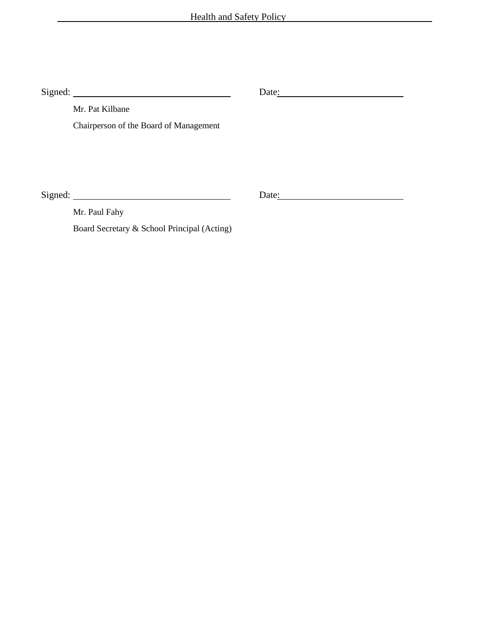| Signed: |                                        | Date: |
|---------|----------------------------------------|-------|
|         | Mr. Pat Kilbane                        |       |
|         | Chairperson of the Board of Management |       |
|         |                                        |       |
|         |                                        |       |
|         |                                        |       |

Signed: Date:

Mr. Paul Fahy

Board Secretary & School Principal (Acting)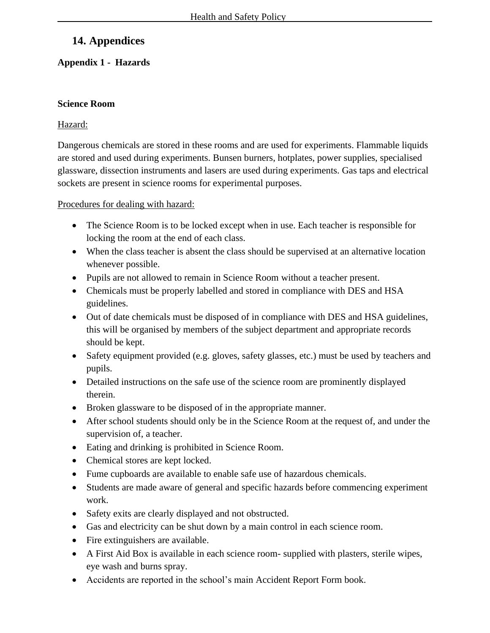## **14. Appendices**

#### **Appendix 1 - Hazards**

#### **Science Room**

#### Hazard:

Dangerous chemicals are stored in these rooms and are used for experiments. Flammable liquids are stored and used during experiments. Bunsen burners, hotplates, power supplies, specialised glassware, dissection instruments and lasers are used during experiments. Gas taps and electrical sockets are present in science rooms for experimental purposes.

Procedures for dealing with hazard:

- The Science Room is to be locked except when in use. Each teacher is responsible for locking the room at the end of each class.
- When the class teacher is absent the class should be supervised at an alternative location whenever possible.
- Pupils are not allowed to remain in Science Room without a teacher present.
- Chemicals must be properly labelled and stored in compliance with DES and HSA guidelines.
- Out of date chemicals must be disposed of in compliance with DES and HSA guidelines, this will be organised by members of the subject department and appropriate records should be kept.
- Safety equipment provided (e.g. gloves, safety glasses, etc.) must be used by teachers and pupils.
- Detailed instructions on the safe use of the science room are prominently displayed therein.
- Broken glassware to be disposed of in the appropriate manner.
- After school students should only be in the Science Room at the request of, and under the supervision of, a teacher.
- Eating and drinking is prohibited in Science Room.
- Chemical stores are kept locked.
- Fume cupboards are available to enable safe use of hazardous chemicals.
- Students are made aware of general and specific hazards before commencing experiment work.
- Safety exits are clearly displayed and not obstructed.
- Gas and electricity can be shut down by a main control in each science room.
- Fire extinguishers are available.
- A First Aid Box is available in each science room- supplied with plasters, sterile wipes, eye wash and burns spray.
- Accidents are reported in the school's main Accident Report Form book.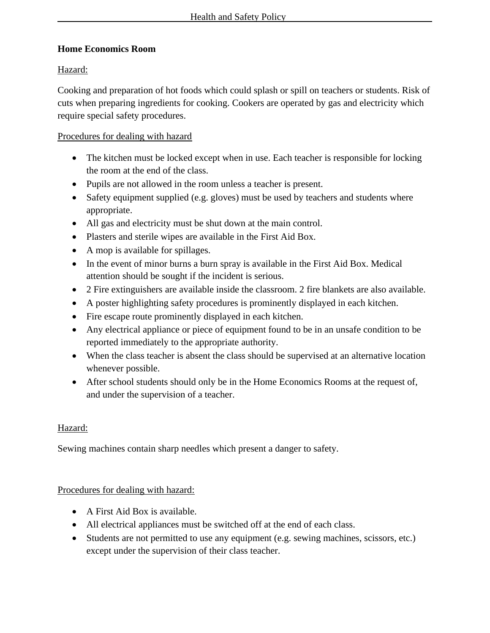#### **Home Economics Room**

#### Hazard:

Cooking and preparation of hot foods which could splash or spill on teachers or students. Risk of cuts when preparing ingredients for cooking. Cookers are operated by gas and electricity which require special safety procedures.

#### Procedures for dealing with hazard

- The kitchen must be locked except when in use. Each teacher is responsible for locking the room at the end of the class.
- Pupils are not allowed in the room unless a teacher is present.
- Safety equipment supplied (e.g. gloves) must be used by teachers and students where appropriate.
- All gas and electricity must be shut down at the main control.
- Plasters and sterile wipes are available in the First Aid Box.
- A mop is available for spillages.
- In the event of minor burns a burn spray is available in the First Aid Box. Medical attention should be sought if the incident is serious.
- 2 Fire extinguishers are available inside the classroom. 2 fire blankets are also available.
- A poster highlighting safety procedures is prominently displayed in each kitchen.
- Fire escape route prominently displayed in each kitchen.
- Any electrical appliance or piece of equipment found to be in an unsafe condition to be reported immediately to the appropriate authority.
- When the class teacher is absent the class should be supervised at an alternative location whenever possible.
- After school students should only be in the Home Economics Rooms at the request of, and under the supervision of a teacher.

#### Hazard:

Sewing machines contain sharp needles which present a danger to safety.

#### Procedures for dealing with hazard:

- A First Aid Box is available.
- All electrical appliances must be switched off at the end of each class.
- Students are not permitted to use any equipment (e.g. sewing machines, scissors, etc.) except under the supervision of their class teacher.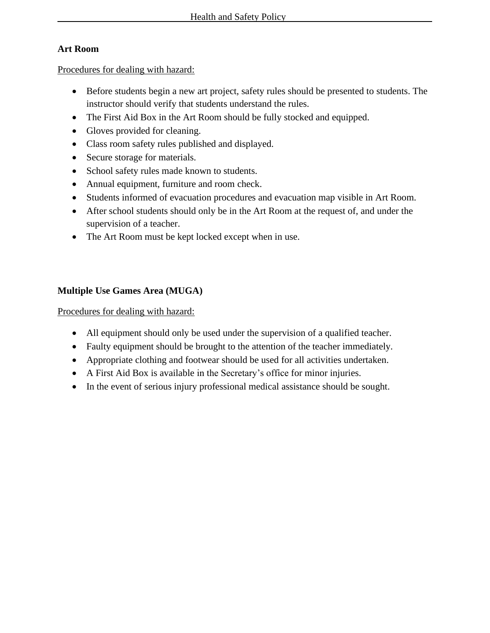#### **Art Room**

Procedures for dealing with hazard:

- Before students begin a new art project, safety rules should be presented to students. The instructor should verify that students understand the rules.
- The First Aid Box in the Art Room should be fully stocked and equipped.
- Gloves provided for cleaning.
- Class room safety rules published and displayed.
- Secure storage for materials.
- School safety rules made known to students.
- Annual equipment, furniture and room check.
- Students informed of evacuation procedures and evacuation map visible in Art Room.
- After school students should only be in the Art Room at the request of, and under the supervision of a teacher.
- The Art Room must be kept locked except when in use.

#### **Multiple Use Games Area (MUGA)**

Procedures for dealing with hazard:

- All equipment should only be used under the supervision of a qualified teacher.
- Faulty equipment should be brought to the attention of the teacher immediately.
- Appropriate clothing and footwear should be used for all activities undertaken.
- A First Aid Box is available in the Secretary's office for minor injuries.
- In the event of serious injury professional medical assistance should be sought.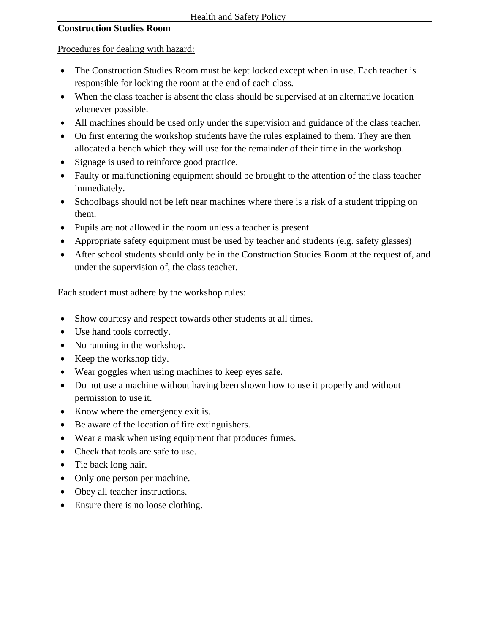#### **Construction Studies Room**

#### Procedures for dealing with hazard:

- The Construction Studies Room must be kept locked except when in use. Each teacher is responsible for locking the room at the end of each class.
- When the class teacher is absent the class should be supervised at an alternative location whenever possible.
- All machines should be used only under the supervision and guidance of the class teacher.
- On first entering the workshop students have the rules explained to them. They are then allocated a bench which they will use for the remainder of their time in the workshop.
- Signage is used to reinforce good practice.
- Faulty or malfunctioning equipment should be brought to the attention of the class teacher immediately.
- Schoolbags should not be left near machines where there is a risk of a student tripping on them.
- Pupils are not allowed in the room unless a teacher is present.
- Appropriate safety equipment must be used by teacher and students (e.g. safety glasses)
- After school students should only be in the Construction Studies Room at the request of, and under the supervision of, the class teacher.

#### Each student must adhere by the workshop rules:

- Show courtesy and respect towards other students at all times.
- Use hand tools correctly.
- No running in the workshop.
- Keep the workshop tidy.
- Wear goggles when using machines to keep eyes safe.
- Do not use a machine without having been shown how to use it properly and without permission to use it.
- Know where the emergency exit is.
- Be aware of the location of fire extinguishers.
- Wear a mask when using equipment that produces fumes.
- Check that tools are safe to use.
- Tie back long hair.
- Only one person per machine.
- Obey all teacher instructions.
- Ensure there is no loose clothing.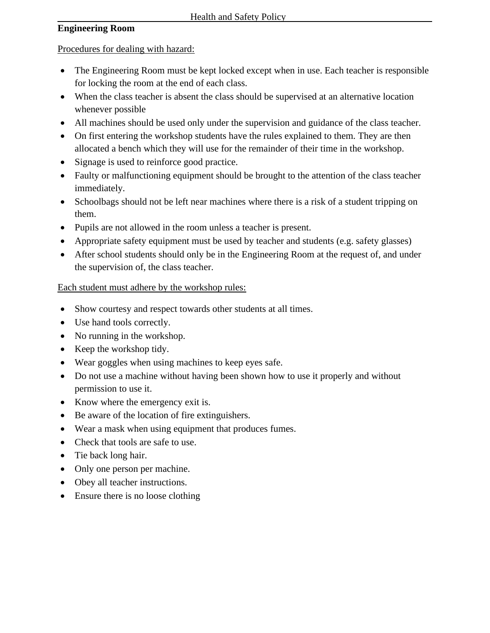## **Engineering Room**

#### Procedures for dealing with hazard:

- The Engineering Room must be kept locked except when in use. Each teacher is responsible for locking the room at the end of each class.
- When the class teacher is absent the class should be supervised at an alternative location whenever possible
- All machines should be used only under the supervision and guidance of the class teacher.
- On first entering the workshop students have the rules explained to them. They are then allocated a bench which they will use for the remainder of their time in the workshop.
- Signage is used to reinforce good practice.
- Faulty or malfunctioning equipment should be brought to the attention of the class teacher immediately.
- Schoolbags should not be left near machines where there is a risk of a student tripping on them.
- Pupils are not allowed in the room unless a teacher is present.
- Appropriate safety equipment must be used by teacher and students (e.g. safety glasses)
- After school students should only be in the Engineering Room at the request of, and under the supervision of, the class teacher.

#### Each student must adhere by the workshop rules:

- Show courtesy and respect towards other students at all times.
- Use hand tools correctly.
- No running in the workshop.
- Keep the workshop tidy.
- Wear goggles when using machines to keep eyes safe.
- Do not use a machine without having been shown how to use it properly and without permission to use it.
- Know where the emergency exit is.
- Be aware of the location of fire extinguishers.
- Wear a mask when using equipment that produces fumes.
- Check that tools are safe to use.
- Tie back long hair.
- Only one person per machine.
- Obey all teacher instructions.
- Ensure there is no loose clothing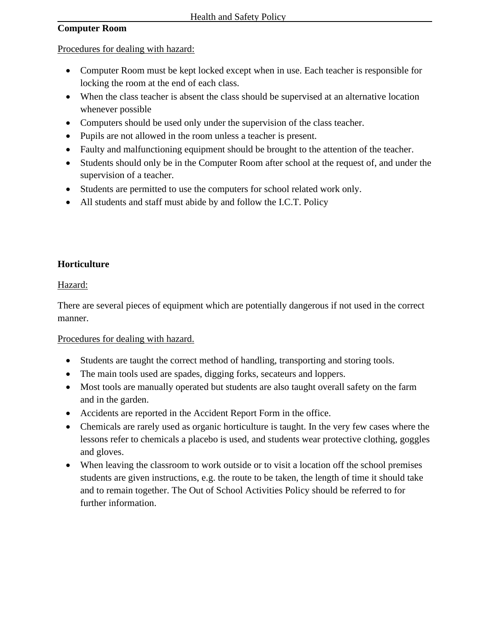## **Computer Room**

#### Procedures for dealing with hazard:

- Computer Room must be kept locked except when in use. Each teacher is responsible for locking the room at the end of each class.
- When the class teacher is absent the class should be supervised at an alternative location whenever possible
- Computers should be used only under the supervision of the class teacher.
- Pupils are not allowed in the room unless a teacher is present.
- Faulty and malfunctioning equipment should be brought to the attention of the teacher.
- Students should only be in the Computer Room after school at the request of, and under the supervision of a teacher.
- Students are permitted to use the computers for school related work only.
- All students and staff must abide by and follow the I.C.T. Policy

#### **Horticulture**

#### Hazard:

There are several pieces of equipment which are potentially dangerous if not used in the correct manner.

#### Procedures for dealing with hazard.

- Students are taught the correct method of handling, transporting and storing tools.
- The main tools used are spades, digging forks, secateurs and loppers.
- Most tools are manually operated but students are also taught overall safety on the farm and in the garden.
- Accidents are reported in the Accident Report Form in the office.
- Chemicals are rarely used as organic horticulture is taught. In the very few cases where the lessons refer to chemicals a placebo is used, and students wear protective clothing, goggles and gloves.
- When leaving the classroom to work outside or to visit a location off the school premises students are given instructions, e.g. the route to be taken, the length of time it should take and to remain together. The Out of School Activities Policy should be referred to for further information.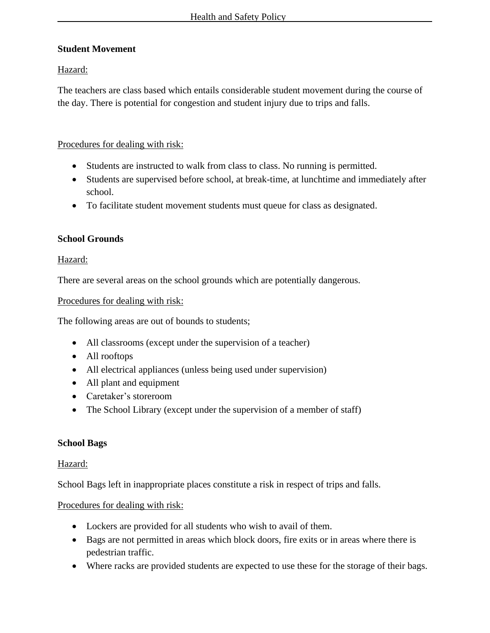#### **Student Movement**

#### Hazard:

The teachers are class based which entails considerable student movement during the course of the day. There is potential for congestion and student injury due to trips and falls.

#### Procedures for dealing with risk:

- Students are instructed to walk from class to class. No running is permitted.
- Students are supervised before school, at break-time, at lunchtime and immediately after school.
- To facilitate student movement students must queue for class as designated.

#### **School Grounds**

#### Hazard:

There are several areas on the school grounds which are potentially dangerous.

#### Procedures for dealing with risk:

The following areas are out of bounds to students;

- All classrooms (except under the supervision of a teacher)
- All rooftops
- All electrical appliances (unless being used under supervision)
- All plant and equipment
- Caretaker's storeroom
- The School Library (except under the supervision of a member of staff)

#### **School Bags**

#### Hazard:

School Bags left in inappropriate places constitute a risk in respect of trips and falls.

#### Procedures for dealing with risk:

- Lockers are provided for all students who wish to avail of them.
- Bags are not permitted in areas which block doors, fire exits or in areas where there is pedestrian traffic.
- Where racks are provided students are expected to use these for the storage of their bags.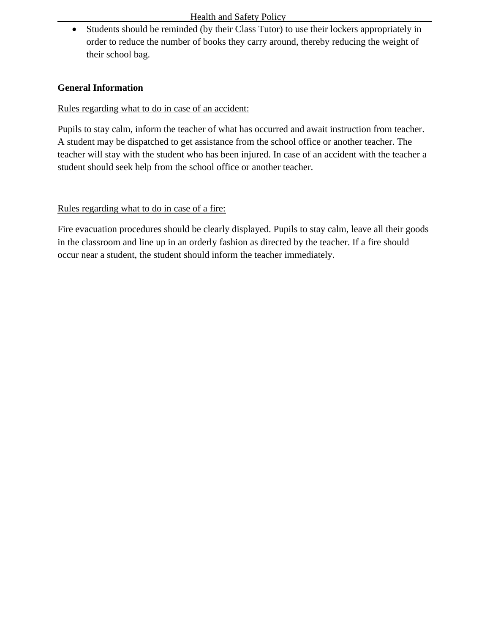• Students should be reminded (by their Class Tutor) to use their lockers appropriately in order to reduce the number of books they carry around, thereby reducing the weight of their school bag.

#### **General Information**

#### Rules regarding what to do in case of an accident:

Pupils to stay calm, inform the teacher of what has occurred and await instruction from teacher. A student may be dispatched to get assistance from the school office or another teacher. The teacher will stay with the student who has been injured. In case of an accident with the teacher a student should seek help from the school office or another teacher.

#### Rules regarding what to do in case of a fire:

Fire evacuation procedures should be clearly displayed. Pupils to stay calm, leave all their goods in the classroom and line up in an orderly fashion as directed by the teacher. If a fire should occur near a student, the student should inform the teacher immediately.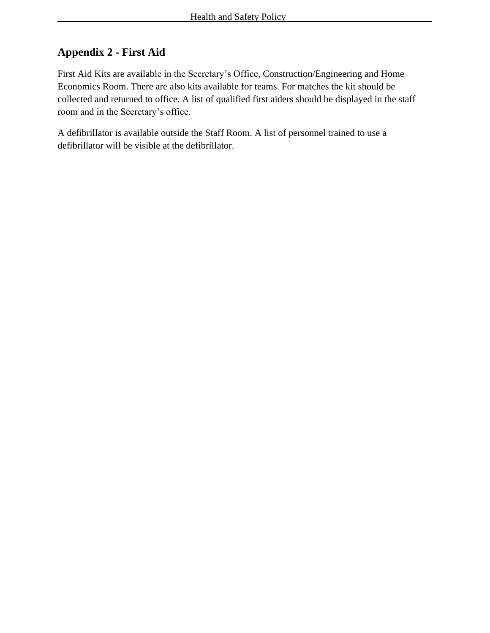## **Appendix 2 - First Aid**

First Aid Kits are available in the Secretary's Office, Construction/Engineering and Home Economics Room. There are also kits available for teams. For matches the kit should be collected and returned to office. A list of qualified first aiders should be displayed in the staff room and in the Secretary's office.

A defibrillator is available outside the Staff Room. A list of personnel trained to use a defibrillator will be visible at the defibrillator.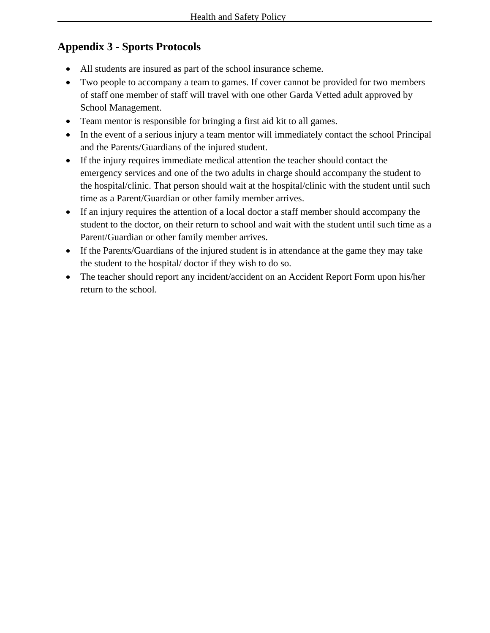## **Appendix 3 - Sports Protocols**

- All students are insured as part of the school insurance scheme.
- Two people to accompany a team to games. If cover cannot be provided for two members of staff one member of staff will travel with one other Garda Vetted adult approved by School Management.
- Team mentor is responsible for bringing a first aid kit to all games.
- In the event of a serious injury a team mentor will immediately contact the school Principal and the Parents/Guardians of the injured student.
- If the injury requires immediate medical attention the teacher should contact the emergency services and one of the two adults in charge should accompany the student to the hospital/clinic. That person should wait at the hospital/clinic with the student until such time as a Parent/Guardian or other family member arrives.
- If an injury requires the attention of a local doctor a staff member should accompany the student to the doctor, on their return to school and wait with the student until such time as a Parent/Guardian or other family member arrives.
- If the Parents/Guardians of the injured student is in attendance at the game they may take the student to the hospital/ doctor if they wish to do so.
- The teacher should report any incident/accident on an Accident Report Form upon his/her return to the school.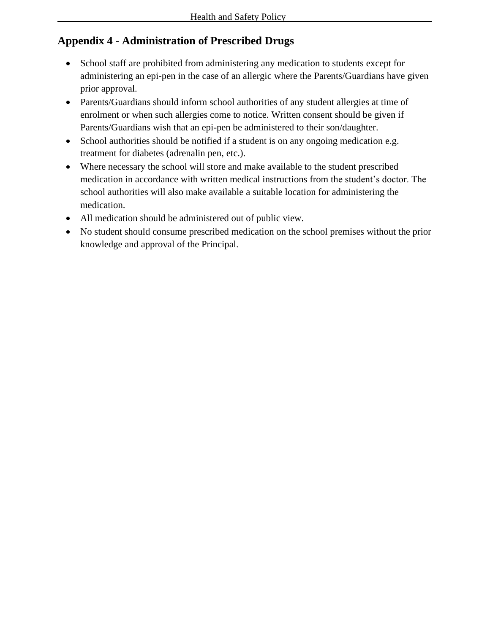## **Appendix 4** - **Administration of Prescribed Drugs**

- School staff are prohibited from administering any medication to students except for administering an epi-pen in the case of an allergic where the Parents/Guardians have given prior approval.
- Parents/Guardians should inform school authorities of any student allergies at time of enrolment or when such allergies come to notice. Written consent should be given if Parents/Guardians wish that an epi-pen be administered to their son/daughter.
- School authorities should be notified if a student is on any ongoing medication e.g. treatment for diabetes (adrenalin pen, etc.).
- Where necessary the school will store and make available to the student prescribed medication in accordance with written medical instructions from the student's doctor. The school authorities will also make available a suitable location for administering the medication.
- All medication should be administered out of public view.
- No student should consume prescribed medication on the school premises without the prior knowledge and approval of the Principal.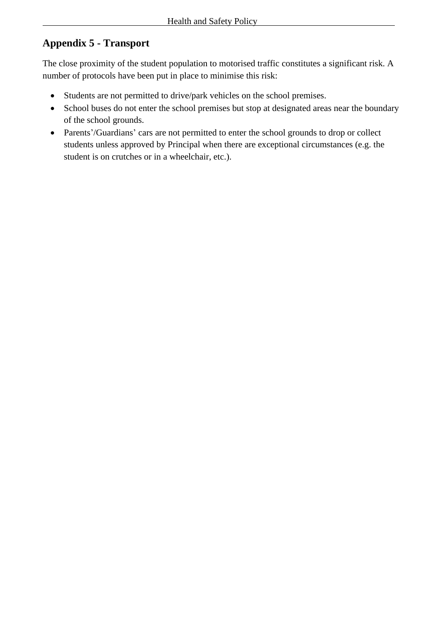## **Appendix 5 - Transport**

The close proximity of the student population to motorised traffic constitutes a significant risk. A number of protocols have been put in place to minimise this risk:

- Students are not permitted to drive/park vehicles on the school premises.
- School buses do not enter the school premises but stop at designated areas near the boundary of the school grounds.
- Parents'/Guardians' cars are not permitted to enter the school grounds to drop or collect students unless approved by Principal when there are exceptional circumstances (e.g. the student is on crutches or in a wheelchair, etc.).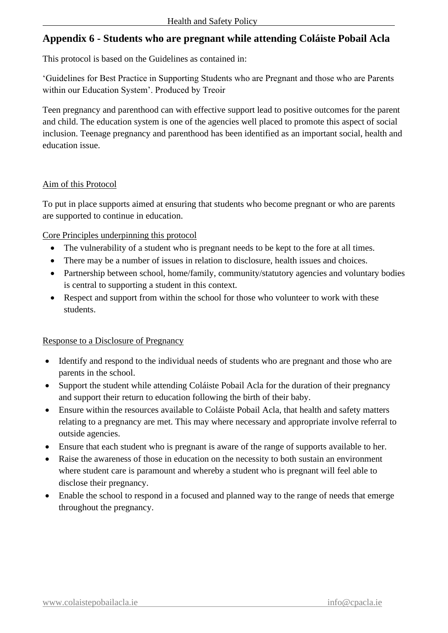## **Appendix 6 - Students who are pregnant while attending Coláiste Pobail Acla**

This protocol is based on the Guidelines as contained in:

'Guidelines for Best Practice in Supporting Students who are Pregnant and those who are Parents within our Education System'. Produced by Treoir

Teen pregnancy and parenthood can with effective support lead to positive outcomes for the parent and child. The education system is one of the agencies well placed to promote this aspect of social inclusion. Teenage pregnancy and parenthood has been identified as an important social, health and education issue.

#### Aim of this Protocol

To put in place supports aimed at ensuring that students who become pregnant or who are parents are supported to continue in education.

Core Principles underpinning this protocol

- The vulnerability of a student who is pregnant needs to be kept to the fore at all times.
- There may be a number of issues in relation to disclosure, health issues and choices.
- Partnership between school, home/family, community/statutory agencies and voluntary bodies is central to supporting a student in this context.
- Respect and support from within the school for those who volunteer to work with these students.

#### Response to a Disclosure of Pregnancy

- Identify and respond to the individual needs of students who are pregnant and those who are parents in the school.
- Support the student while attending Coláiste Pobail Acla for the duration of their pregnancy and support their return to education following the birth of their baby.
- Ensure within the resources available to Coláiste Pobail Acla, that health and safety matters relating to a pregnancy are met. This may where necessary and appropriate involve referral to outside agencies.
- Ensure that each student who is pregnant is aware of the range of supports available to her.
- Raise the awareness of those in education on the necessity to both sustain an environment where student care is paramount and whereby a student who is pregnant will feel able to disclose their pregnancy.
- Enable the school to respond in a focused and planned way to the range of needs that emerge throughout the pregnancy.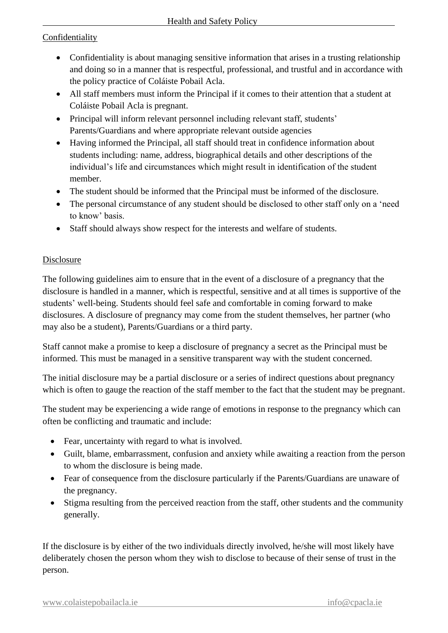#### Confidentiality

- Confidentiality is about managing sensitive information that arises in a trusting relationship and doing so in a manner that is respectful, professional, and trustful and in accordance with the policy practice of Coláiste Pobail Acla.
- All staff members must inform the Principal if it comes to their attention that a student at Coláiste Pobail Acla is pregnant.
- Principal will inform relevant personnel including relevant staff, students' Parents/Guardians and where appropriate relevant outside agencies
- Having informed the Principal, all staff should treat in confidence information about students including: name, address, biographical details and other descriptions of the individual's life and circumstances which might result in identification of the student member.
- The student should be informed that the Principal must be informed of the disclosure.
- The personal circumstance of any student should be disclosed to other staff only on a 'need to know' basis.
- Staff should always show respect for the interests and welfare of students.

## Disclosure

The following guidelines aim to ensure that in the event of a disclosure of a pregnancy that the disclosure is handled in a manner, which is respectful, sensitive and at all times is supportive of the students' well-being. Students should feel safe and comfortable in coming forward to make disclosures. A disclosure of pregnancy may come from the student themselves, her partner (who may also be a student), Parents/Guardians or a third party.

Staff cannot make a promise to keep a disclosure of pregnancy a secret as the Principal must be informed. This must be managed in a sensitive transparent way with the student concerned.

The initial disclosure may be a partial disclosure or a series of indirect questions about pregnancy which is often to gauge the reaction of the staff member to the fact that the student may be pregnant.

The student may be experiencing a wide range of emotions in response to the pregnancy which can often be conflicting and traumatic and include:

- Fear, uncertainty with regard to what is involved.
- Guilt, blame, embarrassment, confusion and anxiety while awaiting a reaction from the person to whom the disclosure is being made.
- Fear of consequence from the disclosure particularly if the Parents/Guardians are unaware of the pregnancy.
- Stigma resulting from the perceived reaction from the staff, other students and the community generally.

If the disclosure is by either of the two individuals directly involved, he/she will most likely have deliberately chosen the person whom they wish to disclose to because of their sense of trust in the person.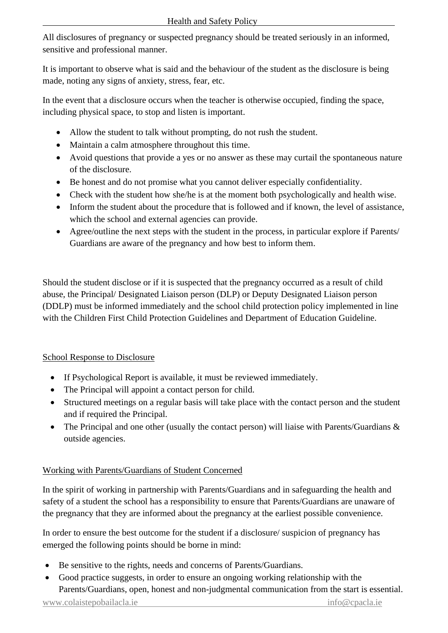All disclosures of pregnancy or suspected pregnancy should be treated seriously in an informed, sensitive and professional manner.

It is important to observe what is said and the behaviour of the student as the disclosure is being made, noting any signs of anxiety, stress, fear, etc.

In the event that a disclosure occurs when the teacher is otherwise occupied, finding the space, including physical space, to stop and listen is important.

- Allow the student to talk without prompting, do not rush the student.
- Maintain a calm atmosphere throughout this time.
- Avoid questions that provide a yes or no answer as these may curtail the spontaneous nature of the disclosure.
- Be honest and do not promise what you cannot deliver especially confidentiality.
- Check with the student how she/he is at the moment both psychologically and health wise.
- Inform the student about the procedure that is followed and if known, the level of assistance, which the school and external agencies can provide.
- Agree/outline the next steps with the student in the process, in particular explore if Parents/ Guardians are aware of the pregnancy and how best to inform them.

Should the student disclose or if it is suspected that the pregnancy occurred as a result of child abuse, the Principal/ Designated Liaison person (DLP) or Deputy Designated Liaison person (DDLP) must be informed immediately and the school child protection policy implemented in line with the Children First Child Protection Guidelines and Department of Education Guideline.

#### School Response to Disclosure

- If Psychological Report is available, it must be reviewed immediately.
- The Principal will appoint a contact person for child.
- Structured meetings on a regular basis will take place with the contact person and the student and if required the Principal.
- The Principal and one other (usually the contact person) will liaise with Parents/Guardians & outside agencies.

#### Working with Parents/Guardians of Student Concerned

In the spirit of working in partnership with Parents/Guardians and in safeguarding the health and safety of a student the school has a responsibility to ensure that Parents/Guardians are unaware of the pregnancy that they are informed about the pregnancy at the earliest possible convenience.

In order to ensure the best outcome for the student if a disclosure/ suspicion of pregnancy has emerged the following points should be borne in mind:

- Be sensitive to the rights, needs and concerns of Parents/Guardians.
- Good practice suggests, in order to ensure an ongoing working relationship with the Parents/Guardians, open, honest and non-judgmental communication from the start is essential.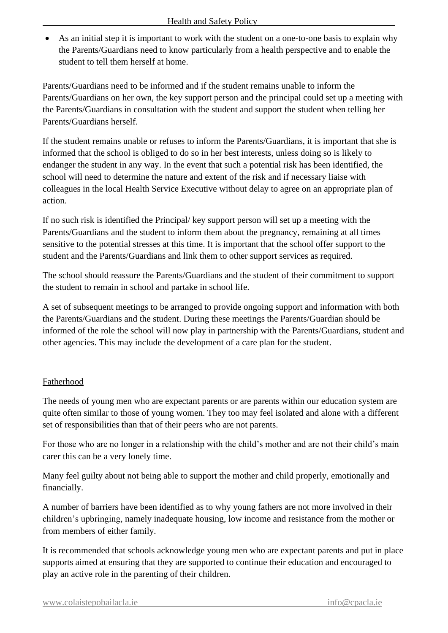• As an initial step it is important to work with the student on a one-to-one basis to explain why the Parents/Guardians need to know particularly from a health perspective and to enable the student to tell them herself at home.

Parents/Guardians need to be informed and if the student remains unable to inform the Parents/Guardians on her own, the key support person and the principal could set up a meeting with the Parents/Guardians in consultation with the student and support the student when telling her Parents/Guardians herself.

If the student remains unable or refuses to inform the Parents/Guardians, it is important that she is informed that the school is obliged to do so in her best interests, unless doing so is likely to endanger the student in any way. In the event that such a potential risk has been identified, the school will need to determine the nature and extent of the risk and if necessary liaise with colleagues in the local Health Service Executive without delay to agree on an appropriate plan of action.

If no such risk is identified the Principal/ key support person will set up a meeting with the Parents/Guardians and the student to inform them about the pregnancy, remaining at all times sensitive to the potential stresses at this time. It is important that the school offer support to the student and the Parents/Guardians and link them to other support services as required.

The school should reassure the Parents/Guardians and the student of their commitment to support the student to remain in school and partake in school life.

A set of subsequent meetings to be arranged to provide ongoing support and information with both the Parents/Guardians and the student. During these meetings the Parents/Guardian should be informed of the role the school will now play in partnership with the Parents/Guardians, student and other agencies. This may include the development of a care plan for the student.

#### Fatherhood

The needs of young men who are expectant parents or are parents within our education system are quite often similar to those of young women. They too may feel isolated and alone with a different set of responsibilities than that of their peers who are not parents.

For those who are no longer in a relationship with the child's mother and are not their child's main carer this can be a very lonely time.

Many feel guilty about not being able to support the mother and child properly, emotionally and financially.

A number of barriers have been identified as to why young fathers are not more involved in their children's upbringing, namely inadequate housing, low income and resistance from the mother or from members of either family.

It is recommended that schools acknowledge young men who are expectant parents and put in place supports aimed at ensuring that they are supported to continue their education and encouraged to play an active role in the parenting of their children.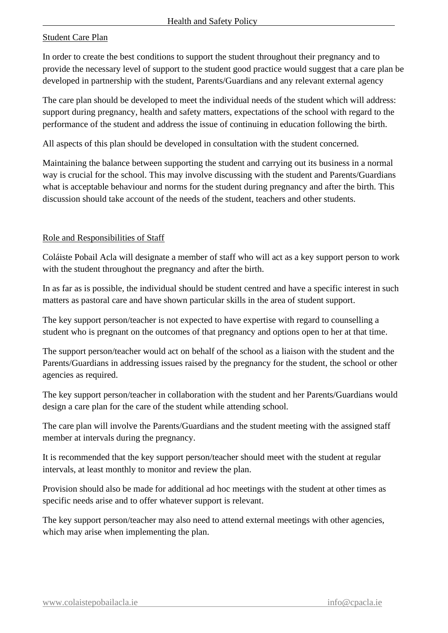#### Student Care Plan

In order to create the best conditions to support the student throughout their pregnancy and to provide the necessary level of support to the student good practice would suggest that a care plan be developed in partnership with the student, Parents/Guardians and any relevant external agency

The care plan should be developed to meet the individual needs of the student which will address: support during pregnancy, health and safety matters, expectations of the school with regard to the performance of the student and address the issue of continuing in education following the birth.

All aspects of this plan should be developed in consultation with the student concerned.

Maintaining the balance between supporting the student and carrying out its business in a normal way is crucial for the school. This may involve discussing with the student and Parents/Guardians what is acceptable behaviour and norms for the student during pregnancy and after the birth. This discussion should take account of the needs of the student, teachers and other students.

#### Role and Responsibilities of Staff

Coláiste Pobail Acla will designate a member of staff who will act as a key support person to work with the student throughout the pregnancy and after the birth.

In as far as is possible, the individual should be student centred and have a specific interest in such matters as pastoral care and have shown particular skills in the area of student support.

The key support person/teacher is not expected to have expertise with regard to counselling a student who is pregnant on the outcomes of that pregnancy and options open to her at that time.

The support person/teacher would act on behalf of the school as a liaison with the student and the Parents/Guardians in addressing issues raised by the pregnancy for the student, the school or other agencies as required.

The key support person/teacher in collaboration with the student and her Parents/Guardians would design a care plan for the care of the student while attending school.

The care plan will involve the Parents/Guardians and the student meeting with the assigned staff member at intervals during the pregnancy.

It is recommended that the key support person/teacher should meet with the student at regular intervals, at least monthly to monitor and review the plan.

Provision should also be made for additional ad hoc meetings with the student at other times as specific needs arise and to offer whatever support is relevant.

The key support person/teacher may also need to attend external meetings with other agencies, which may arise when implementing the plan.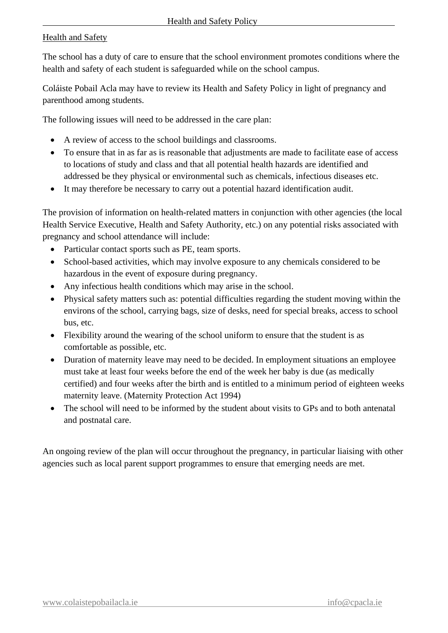#### Health and Safety

The school has a duty of care to ensure that the school environment promotes conditions where the health and safety of each student is safeguarded while on the school campus.

Coláiste Pobail Acla may have to review its Health and Safety Policy in light of pregnancy and parenthood among students.

The following issues will need to be addressed in the care plan:

- A review of access to the school buildings and classrooms.
- To ensure that in as far as is reasonable that adjustments are made to facilitate ease of access to locations of study and class and that all potential health hazards are identified and addressed be they physical or environmental such as chemicals, infectious diseases etc.
- It may therefore be necessary to carry out a potential hazard identification audit.

The provision of information on health-related matters in conjunction with other agencies (the local Health Service Executive, Health and Safety Authority, etc.) on any potential risks associated with pregnancy and school attendance will include:

- Particular contact sports such as PE, team sports.
- School-based activities, which may involve exposure to any chemicals considered to be hazardous in the event of exposure during pregnancy.
- Any infectious health conditions which may arise in the school.
- Physical safety matters such as: potential difficulties regarding the student moving within the environs of the school, carrying bags, size of desks, need for special breaks, access to school bus, etc.
- Flexibility around the wearing of the school uniform to ensure that the student is as comfortable as possible, etc.
- Duration of maternity leave may need to be decided. In employment situations an employee must take at least four weeks before the end of the week her baby is due (as medically certified) and four weeks after the birth and is entitled to a minimum period of eighteen weeks maternity leave. (Maternity Protection Act 1994)
- The school will need to be informed by the student about visits to GPs and to both antenatal and postnatal care.

An ongoing review of the plan will occur throughout the pregnancy, in particular liaising with other agencies such as local parent support programmes to ensure that emerging needs are met.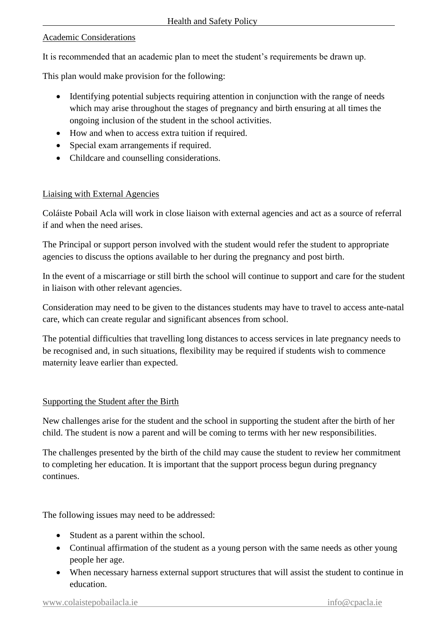#### Academic Considerations

It is recommended that an academic plan to meet the student's requirements be drawn up.

This plan would make provision for the following:

- Identifying potential subjects requiring attention in conjunction with the range of needs which may arise throughout the stages of pregnancy and birth ensuring at all times the ongoing inclusion of the student in the school activities.
- How and when to access extra tuition if required.
- Special exam arrangements if required.
- Childcare and counselling considerations.

#### Liaising with External Agencies

Coláiste Pobail Acla will work in close liaison with external agencies and act as a source of referral if and when the need arises.

The Principal or support person involved with the student would refer the student to appropriate agencies to discuss the options available to her during the pregnancy and post birth.

In the event of a miscarriage or still birth the school will continue to support and care for the student in liaison with other relevant agencies.

Consideration may need to be given to the distances students may have to travel to access ante-natal care, which can create regular and significant absences from school.

The potential difficulties that travelling long distances to access services in late pregnancy needs to be recognised and, in such situations, flexibility may be required if students wish to commence maternity leave earlier than expected.

#### Supporting the Student after the Birth

New challenges arise for the student and the school in supporting the student after the birth of her child. The student is now a parent and will be coming to terms with her new responsibilities.

The challenges presented by the birth of the child may cause the student to review her commitment to completing her education. It is important that the support process begun during pregnancy continues.

The following issues may need to be addressed:

- Student as a parent within the school.
- Continual affirmation of the student as a young person with the same needs as other young people her age.
- When necessary harness external support structures that will assist the student to continue in education.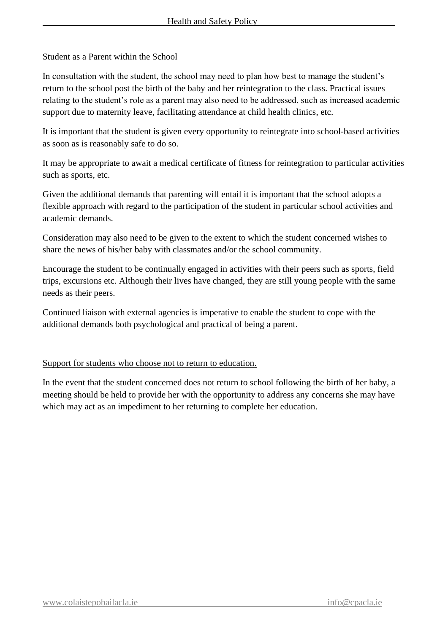#### Student as a Parent within the School

In consultation with the student, the school may need to plan how best to manage the student's return to the school post the birth of the baby and her reintegration to the class. Practical issues relating to the student's role as a parent may also need to be addressed, such as increased academic support due to maternity leave, facilitating attendance at child health clinics, etc.

It is important that the student is given every opportunity to reintegrate into school-based activities as soon as is reasonably safe to do so.

It may be appropriate to await a medical certificate of fitness for reintegration to particular activities such as sports, etc.

Given the additional demands that parenting will entail it is important that the school adopts a flexible approach with regard to the participation of the student in particular school activities and academic demands.

Consideration may also need to be given to the extent to which the student concerned wishes to share the news of his/her baby with classmates and/or the school community.

Encourage the student to be continually engaged in activities with their peers such as sports, field trips, excursions etc. Although their lives have changed, they are still young people with the same needs as their peers.

Continued liaison with external agencies is imperative to enable the student to cope with the additional demands both psychological and practical of being a parent.

#### Support for students who choose not to return to education.

In the event that the student concerned does not return to school following the birth of her baby, a meeting should be held to provide her with the opportunity to address any concerns she may have which may act as an impediment to her returning to complete her education.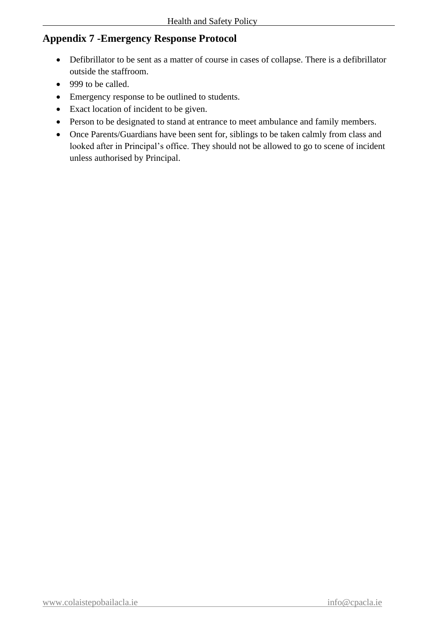## **Appendix 7 -Emergency Response Protocol**

- Defibrillator to be sent as a matter of course in cases of collapse. There is a defibrillator outside the staffroom.
- 999 to be called.
- Emergency response to be outlined to students.
- Exact location of incident to be given.
- Person to be designated to stand at entrance to meet ambulance and family members.
- Once Parents/Guardians have been sent for, siblings to be taken calmly from class and looked after in Principal's office. They should not be allowed to go to scene of incident unless authorised by Principal.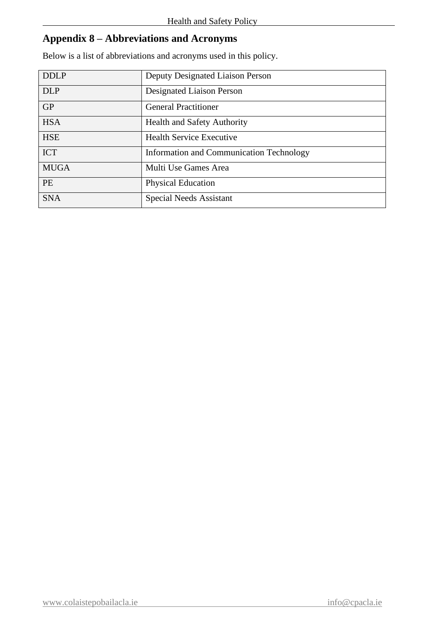## **Appendix 8 – Abbreviations and Acronyms**

Below is a list of abbreviations and acronyms used in this policy.

| <b>DDLP</b> | Deputy Designated Liaison Person                |
|-------------|-------------------------------------------------|
| <b>DLP</b>  | Designated Liaison Person                       |
| <b>GP</b>   | <b>General Practitioner</b>                     |
| <b>HSA</b>  | <b>Health and Safety Authority</b>              |
| <b>HSE</b>  | <b>Health Service Executive</b>                 |
| <b>ICT</b>  | <b>Information and Communication Technology</b> |
| <b>MUGA</b> | Multi Use Games Area                            |
| <b>PE</b>   | <b>Physical Education</b>                       |
| <b>SNA</b>  | <b>Special Needs Assistant</b>                  |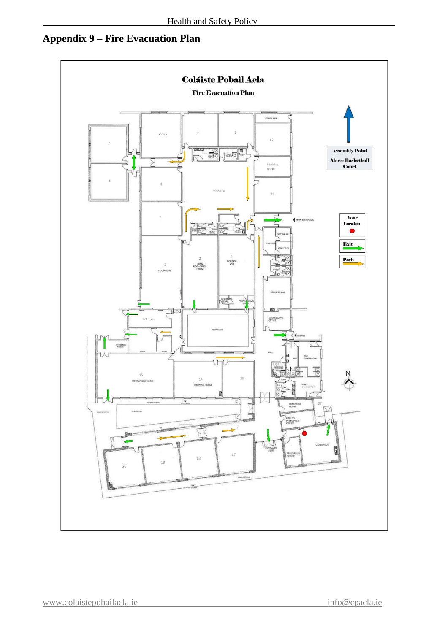## **Appendix 9 – Fire Evacuation Plan**

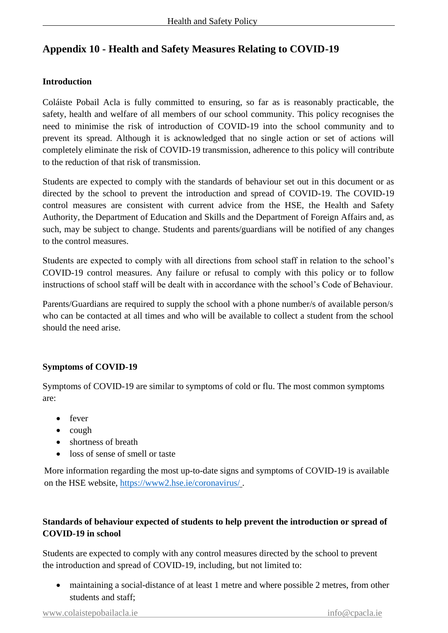## **Appendix 10 - Health and Safety Measures Relating to COVID-19**

#### **Introduction**

Coláiste Pobail Acla is fully committed to ensuring, so far as is reasonably practicable, the safety, health and welfare of all members of our school community. This policy recognises the need to minimise the risk of introduction of COVID-19 into the school community and to prevent its spread. Although it is acknowledged that no single action or set of actions will completely eliminate the risk of COVID-19 transmission, adherence to this policy will contribute to the reduction of that risk of transmission.

Students are expected to comply with the standards of behaviour set out in this document or as directed by the school to prevent the introduction and spread of COVID-19. The COVID-19 control measures are consistent with current advice from the HSE, the Health and Safety Authority, the Department of Education and Skills and the Department of Foreign Affairs and, as such, may be subject to change. Students and parents/guardians will be notified of any changes to the control measures.

Students are expected to comply with all directions from school staff in relation to the school's COVID-19 control measures. Any failure or refusal to comply with this policy or to follow instructions of school staff will be dealt with in accordance with the school's Code of Behaviour.

Parents/Guardians are required to supply the school with a phone number/s of available person/s who can be contacted at all times and who will be available to collect a student from the school should the need arise.

#### **Symptoms of COVID-19**

Symptoms of COVID-19 are similar to symptoms of cold or flu. The most common symptoms are:

- fever
- cough
- shortness of breath
- loss of sense of smell or taste

More information regarding the most up-to-date signs and symptoms of COVID-19 is available on the HSE website,<https://www2.hse.ie/coronavirus/> .

## **Standards of behaviour expected of students to help prevent the introduction or spread of COVID-19 in school**

Students are expected to comply with any control measures directed by the school to prevent the introduction and spread of COVID-19, including, but not limited to:

• maintaining a social-distance of at least 1 metre and where possible 2 metres, from other students and staff;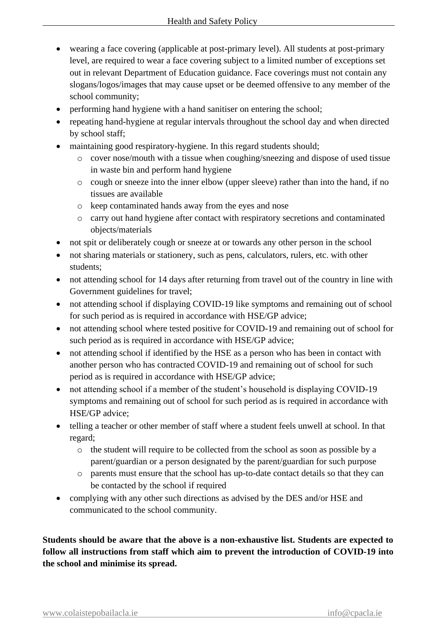- wearing a face covering (applicable at post-primary level). All students at post-primary level, are required to wear a face covering subject to a limited number of exceptions set out in relevant Department of Education guidance. Face coverings must not contain any slogans/logos/images that may cause upset or be deemed offensive to any member of the school community;
- performing hand hygiene with a hand sanitiser on entering the school;
- repeating hand-hygiene at regular intervals throughout the school day and when directed by school staff;
- maintaining good respiratory-hygiene. In this regard students should;
	- o cover nose/mouth with a tissue when coughing/sneezing and dispose of used tissue in waste bin and perform hand hygiene
	- o cough or sneeze into the inner elbow (upper sleeve) rather than into the hand, if no tissues are available
	- o keep contaminated hands away from the eyes and nose
	- o carry out hand hygiene after contact with respiratory secretions and contaminated objects/materials
- not spit or deliberately cough or sneeze at or towards any other person in the school
- not sharing materials or stationery, such as pens, calculators, rulers, etc. with other students;
- not attending school for 14 days after returning from travel out of the country in line with Government guidelines for travel;
- not attending school if displaying COVID-19 like symptoms and remaining out of school for such period as is required in accordance with HSE/GP advice;
- not attending school where tested positive for COVID-19 and remaining out of school for such period as is required in accordance with HSE/GP advice;
- not attending school if identified by the HSE as a person who has been in contact with another person who has contracted COVID-19 and remaining out of school for such period as is required in accordance with HSE/GP advice;
- not attending school if a member of the student's household is displaying COVID-19 symptoms and remaining out of school for such period as is required in accordance with HSE/GP advice;
- telling a teacher or other member of staff where a student feels unwell at school. In that regard;
	- o the student will require to be collected from the school as soon as possible by a parent/guardian or a person designated by the parent/guardian for such purpose
	- o parents must ensure that the school has up-to-date contact details so that they can be contacted by the school if required
- complying with any other such directions as advised by the DES and/or HSE and communicated to the school community.

**Students should be aware that the above is a non-exhaustive list. Students are expected to follow all instructions from staff which aim to prevent the introduction of COVID-19 into the school and minimise its spread.**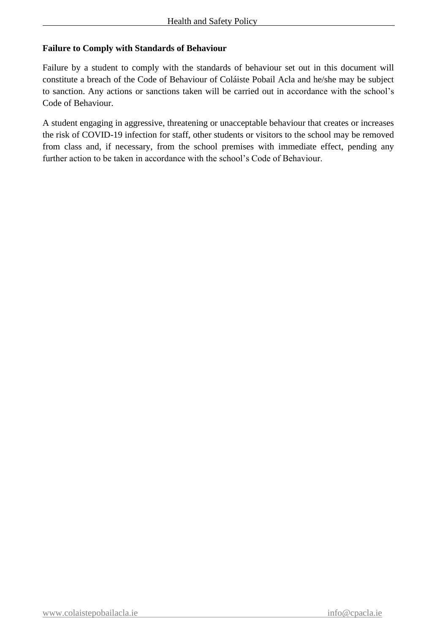#### **Failure to Comply with Standards of Behaviour**

Failure by a student to comply with the standards of behaviour set out in this document will constitute a breach of the Code of Behaviour of Coláiste Pobail Acla and he/she may be subject to sanction. Any actions or sanctions taken will be carried out in accordance with the school's Code of Behaviour.

A student engaging in aggressive, threatening or unacceptable behaviour that creates or increases the risk of COVID-19 infection for staff, other students or visitors to the school may be removed from class and, if necessary, from the school premises with immediate effect, pending any further action to be taken in accordance with the school's Code of Behaviour.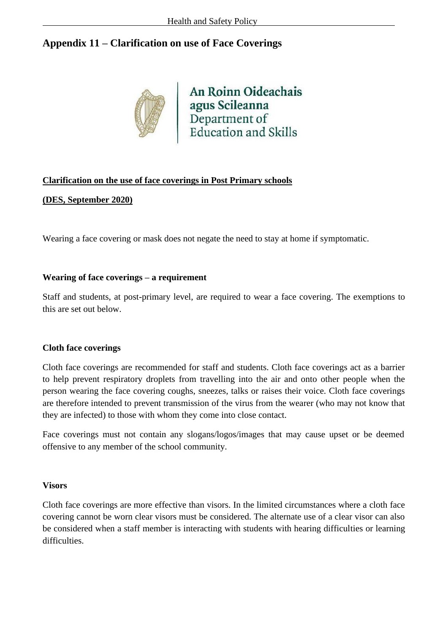## **Appendix 11 – Clarification on use of Face Coverings**



#### **Clarification on the use of face coverings in Post Primary schools**

#### **(DES, September 2020)**

Wearing a face covering or mask does not negate the need to stay at home if symptomatic.

#### **Wearing of face coverings – a requirement**

Staff and students, at post-primary level, are required to wear a face covering. The exemptions to this are set out below.

#### **Cloth face coverings**

Cloth face coverings are recommended for staff and students. Cloth face coverings act as a barrier to help prevent respiratory droplets from travelling into the air and onto other people when the person wearing the face covering coughs, sneezes, talks or raises their voice. Cloth face coverings are therefore intended to prevent transmission of the virus from the wearer (who may not know that they are infected) to those with whom they come into close contact.

Face coverings must not contain any slogans/logos/images that may cause upset or be deemed offensive to any member of the school community.

#### **Visors**

Cloth face coverings are more effective than visors. In the limited circumstances where a cloth face covering cannot be worn clear visors must be considered. The alternate use of a clear visor can also be considered when a staff member is interacting with students with hearing difficulties or learning difficulties.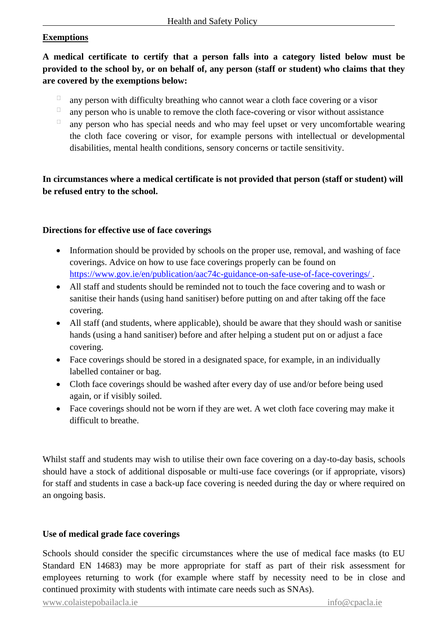#### **Exemptions**

**A medical certificate to certify that a person falls into a category listed below must be provided to the school by, or on behalf of, any person (staff or student) who claims that they are covered by the exemptions below:**

- $\Box$ any person with difficulty breathing who cannot wear a cloth face covering or a visor
- $\Box$ any person who is unable to remove the cloth face-covering or visor without assistance
- $\Box$ any person who has special needs and who may feel upset or very uncomfortable wearing the cloth face covering or visor, for example persons with intellectual or developmental disabilities, mental health conditions, sensory concerns or tactile sensitivity.

**In circumstances where a medical certificate is not provided that person (staff or student) will be refused entry to the school.**

#### **Directions for effective use of face coverings**

- Information should be provided by schools on the proper use, removal, and washing of face coverings. Advice on how to use face coverings properly can be found on [https://www.gov.ie/en/publication/aac74c-guidance-on-safe-use-of-face-coverings/ .](https://www.gov.ie/en/publication/aac74c-guidance-on-safe-use-of-face-coverings/)
- All staff and students should be reminded not to touch the face covering and to wash or sanitise their hands (using hand sanitiser) before putting on and after taking off the face covering.
- All staff (and students, where applicable), should be aware that they should wash or sanitise hands (using a hand sanitiser) before and after helping a student put on or adjust a face covering.
- Face coverings should be stored in a designated space, for example, in an individually labelled container or bag.
- Cloth face coverings should be washed after every day of use and/or before being used again, or if visibly soiled.
- Face coverings should not be worn if they are wet. A wet cloth face covering may make it difficult to breathe.

Whilst staff and students may wish to utilise their own face covering on a day-to-day basis, schools should have a stock of additional disposable or multi-use face coverings (or if appropriate, visors) for staff and students in case a back-up face covering is needed during the day or where required on an ongoing basis.

#### **Use of medical grade face coverings**

Schools should consider the specific circumstances where the use of medical face masks (to EU Standard EN 14683) may be more appropriate for staff as part of their risk assessment for employees returning to work (for example where staff by necessity need to be in close and continued proximity with students with intimate care needs such as SNAs).